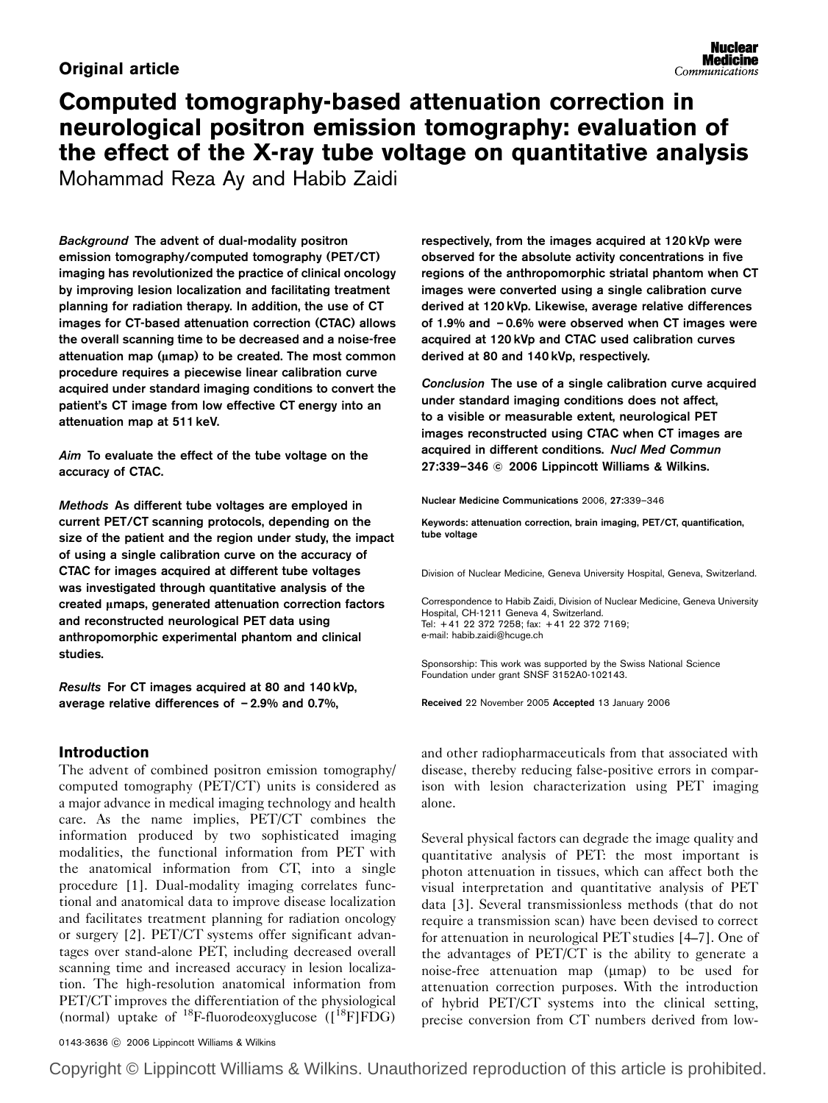## Original article

# Computed tomography-based attenuation correction in neurological positron emission tomography: evaluation of the effect of the X-ray tube voltage on quantitative analysis

Mohammad Reza Ay and Habib Zaidi

Background The advent of dual-modality positron emission tomography/computed tomography (PET/CT) imaging has revolutionized the practice of clinical oncology by improving lesion localization and facilitating treatment planning for radiation therapy. In addition, the use of CT images for CT-based attenuation correction (CTAC) allows the overall scanning time to be decreased and a noise-free attenuation map (umap) to be created. The most common procedure requires a piecewise linear calibration curve acquired under standard imaging conditions to convert the patient's CT image from low effective CT energy into an attenuation map at 511 keV.

Aim To evaluate the effect of the tube voltage on the accuracy of CTAC.

Methods As different tube voltages are employed in current PET/CT scanning protocols, depending on the size of the patient and the region under study, the impact of using a single calibration curve on the accuracy of CTAC for images acquired at different tube voltages was investigated through quantitative analysis of the created umaps, generated attenuation correction factors and reconstructed neurological PET data using anthropomorphic experimental phantom and clinical studies.

Results For CT images acquired at 80 and 140 kVp, average relative differences of – 2.9% and 0.7%,

## Introduction

The advent of combined positron emission tomography/ computed tomography (PET/CT) units is considered as a major advance in medical imaging technology and health care. As the name implies, PET/CT combines the information produced by two sophisticated imaging modalities, the functional information from PET with the anatomical information from CT, into a single procedure [1]. Dual-modality imaging correlates functional and anatomical data to improve disease localization and facilitates treatment planning for radiation oncology or surgery [2]. PET/CT systems offer significant advantages over stand-alone PET, including decreased overall scanning time and increased accuracy in lesion localization. The high-resolution anatomical information from PET/CT improves the differentiation of the physiological (normal) uptake of  $^{18}$ F-fluorodeoxyglucose ( $\binom{18}{18}$ FJFDG)

respectively, from the images acquired at 120 kVp were observed for the absolute activity concentrations in five regions of the anthropomorphic striatal phantom when CT images were converted using a single calibration curve derived at 120 kVp. Likewise, average relative differences of 1.9% and – 0.6% were observed when CT images were acquired at 120 kVp and CTAC used calibration curves derived at 80 and 140 kVp, respectively.

Conclusion The use of a single calibration curve acquired under standard imaging conditions does not affect, to a visible or measurable extent, neurological PET images reconstructed using CTAC when CT images are acquired in different conditions. Nucl Med Commun 27:339-346 © 2006 Lippincott Williams & Wilkins.

Nuclear Medicine Communications 2006, 27:339–346

Keywords: attenuation correction, brain imaging, PET/CT, quantification, tube voltage

Division of Nuclear Medicine, Geneva University Hospital, Geneva, Switzerland.

Correspondence to Habib Zaidi, Division of Nuclear Medicine, Geneva University Hospital, CH-1211 Geneva 4, Switzerland. Tel: + 41 22 372 7258; fax: + 41 22 372 7169; e-mail: habib.zaidi@hcuge.ch

Sponsorship: This work was supported by the Swiss National Science Foundation under grant SNSF 3152A0-102143.

Received 22 November 2005 Accepted 13 January 2006

and other radiopharmaceuticals from that associated with disease, thereby reducing false-positive errors in comparison with lesion characterization using PET imaging alone.

Several physical factors can degrade the image quality and quantitative analysis of PET: the most important is photon attenuation in tissues, which can affect both the visual interpretation and quantitative analysis of PET data [3]. Several transmissionless methods (that do not require a transmission scan) have been devised to correct for attenuation in neurological PET studies [4–7]. One of the advantages of PET/CT is the ability to generate a noise-free attenuation map  $(\mu m)$  to be used for attenuation correction purposes. With the introduction of hybrid PET/CT systems into the clinical setting, precise conversion from CT numbers derived from low-

0143-3636 C 2006 Lippincott Williams & Wilkins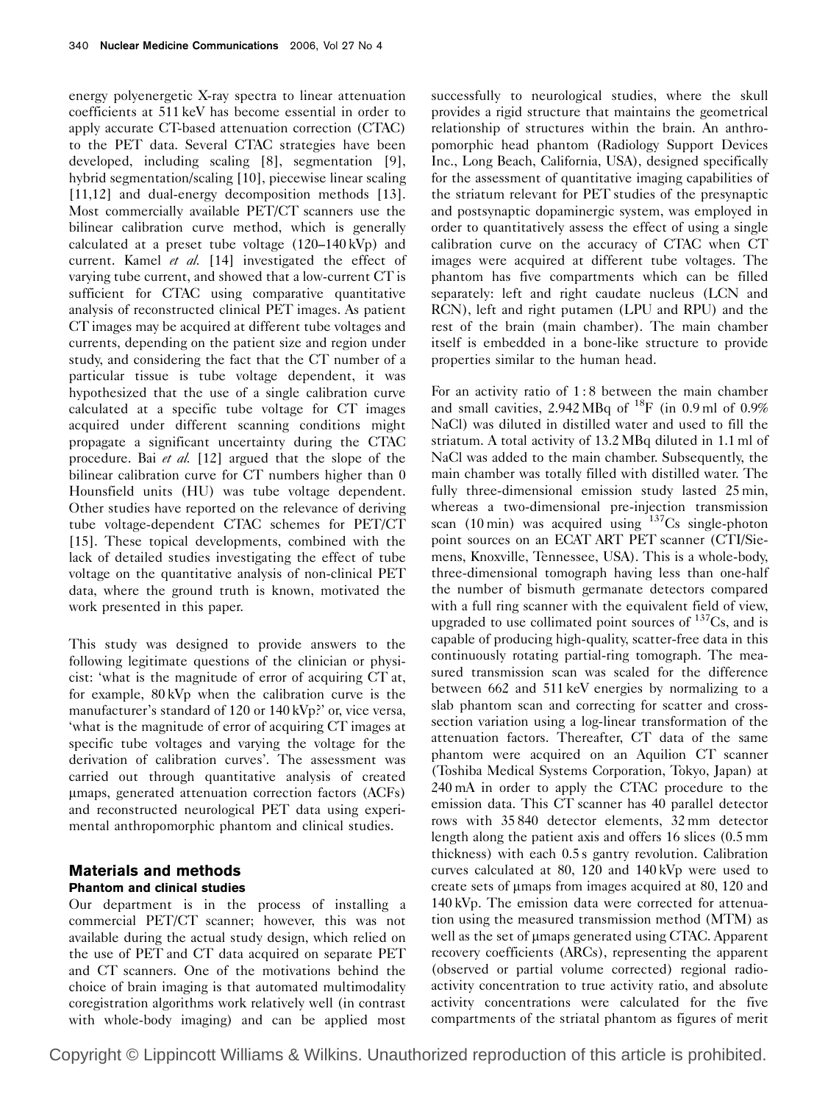energy polyenergetic X-ray spectra to linear attenuation coefficients at 511 keV has become essential in order to apply accurate CT-based attenuation correction (CTAC) to the PET data. Several CTAC strategies have been developed, including scaling [8], segmentation [9], hybrid segmentation/scaling [10], piecewise linear scaling [11,12] and dual-energy decomposition methods [13]. Most commercially available PET/CT scanners use the bilinear calibration curve method, which is generally calculated at a preset tube voltage (120–140 kVp) and current. Kamel et al. [14] investigated the effect of varying tube current, and showed that a low-current CT is sufficient for CTAC using comparative quantitative analysis of reconstructed clinical PET images. As patient CT images may be acquired at different tube voltages and currents, depending on the patient size and region under study, and considering the fact that the CT number of a particular tissue is tube voltage dependent, it was hypothesized that the use of a single calibration curve calculated at a specific tube voltage for CT images acquired under different scanning conditions might propagate a significant uncertainty during the CTAC procedure. Bai et al. [12] argued that the slope of the bilinear calibration curve for CT numbers higher than 0 Hounsfield units (HU) was tube voltage dependent. Other studies have reported on the relevance of deriving tube voltage-dependent CTAC schemes for PET/CT [15]. These topical developments, combined with the lack of detailed studies investigating the effect of tube voltage on the quantitative analysis of non-clinical PET data, where the ground truth is known, motivated the work presented in this paper.

This study was designed to provide answers to the following legitimate questions of the clinician or physicist: 'what is the magnitude of error of acquiring CT at, for example, 80 kVp when the calibration curve is the manufacturer's standard of 120 or 140 kVp?' or, vice versa, 'what is the magnitude of error of acquiring CT images at specific tube voltages and varying the voltage for the derivation of calibration curves'. The assessment was carried out through quantitative analysis of created mmaps, generated attenuation correction factors (ACFs) and reconstructed neurological PET data using experimental anthropomorphic phantom and clinical studies.

### Materials and methods Phantom and clinical studies

Our department is in the process of installing a commercial PET/CT scanner; however, this was not available during the actual study design, which relied on the use of PET and CT data acquired on separate PET and CT scanners. One of the motivations behind the choice of brain imaging is that automated multimodality coregistration algorithms work relatively well (in contrast with whole-body imaging) and can be applied most successfully to neurological studies, where the skull provides a rigid structure that maintains the geometrical relationship of structures within the brain. An anthropomorphic head phantom (Radiology Support Devices Inc., Long Beach, California, USA), designed specifically for the assessment of quantitative imaging capabilities of the striatum relevant for PET studies of the presynaptic and postsynaptic dopaminergic system, was employed in order to quantitatively assess the effect of using a single calibration curve on the accuracy of CTAC when CT images were acquired at different tube voltages. The phantom has five compartments which can be filled separately: left and right caudate nucleus (LCN and RCN), left and right putamen (LPU and RPU) and the rest of the brain (main chamber). The main chamber itself is embedded in a bone-like structure to provide properties similar to the human head.

For an activity ratio of 1 : 8 between the main chamber and small cavities,  $2.942 \text{ MBq}$  of  $^{18}$ F (in 0.9 ml of 0.9%) NaCl) was diluted in distilled water and used to fill the striatum. A total activity of 13.2 MBq diluted in 1.1 ml of NaCl was added to the main chamber. Subsequently, the main chamber was totally filled with distilled water. The fully three-dimensional emission study lasted 25 min, whereas a two-dimensional pre-injection transmission scan  $(10 \text{ min})$  was acquired using  $137\text{Cs}$  single-photon point sources on an ECAT ART PET scanner (CTI/Siemens, Knoxville, Tennessee, USA). This is a whole-body, three-dimensional tomograph having less than one-half the number of bismuth germanate detectors compared with a full ring scanner with the equivalent field of view, upgraded to use collimated point sources of  $137Cs$ , and is capable of producing high-quality, scatter-free data in this continuously rotating partial-ring tomograph. The measured transmission scan was scaled for the difference between 662 and 511 keV energies by normalizing to a slab phantom scan and correcting for scatter and crosssection variation using a log-linear transformation of the attenuation factors. Thereafter, CT data of the same phantom were acquired on an Aquilion CT scanner (Toshiba Medical Systems Corporation, Tokyo, Japan) at 240 mA in order to apply the CTAC procedure to the emission data. This CT scanner has 40 parallel detector rows with 35 840 detector elements, 32 mm detector length along the patient axis and offers 16 slices (0.5 mm thickness) with each 0.5 s gantry revolution. Calibration curves calculated at 80, 120 and 140 kVp were used to create sets of µmaps from images acquired at 80, 120 and 140 kVp. The emission data were corrected for attenuation using the measured transmission method (MTM) as well as the set of umaps generated using CTAC. Apparent recovery coefficients (ARCs), representing the apparent (observed or partial volume corrected) regional radioactivity concentration to true activity ratio, and absolute activity concentrations were calculated for the five compartments of the striatal phantom as figures of merit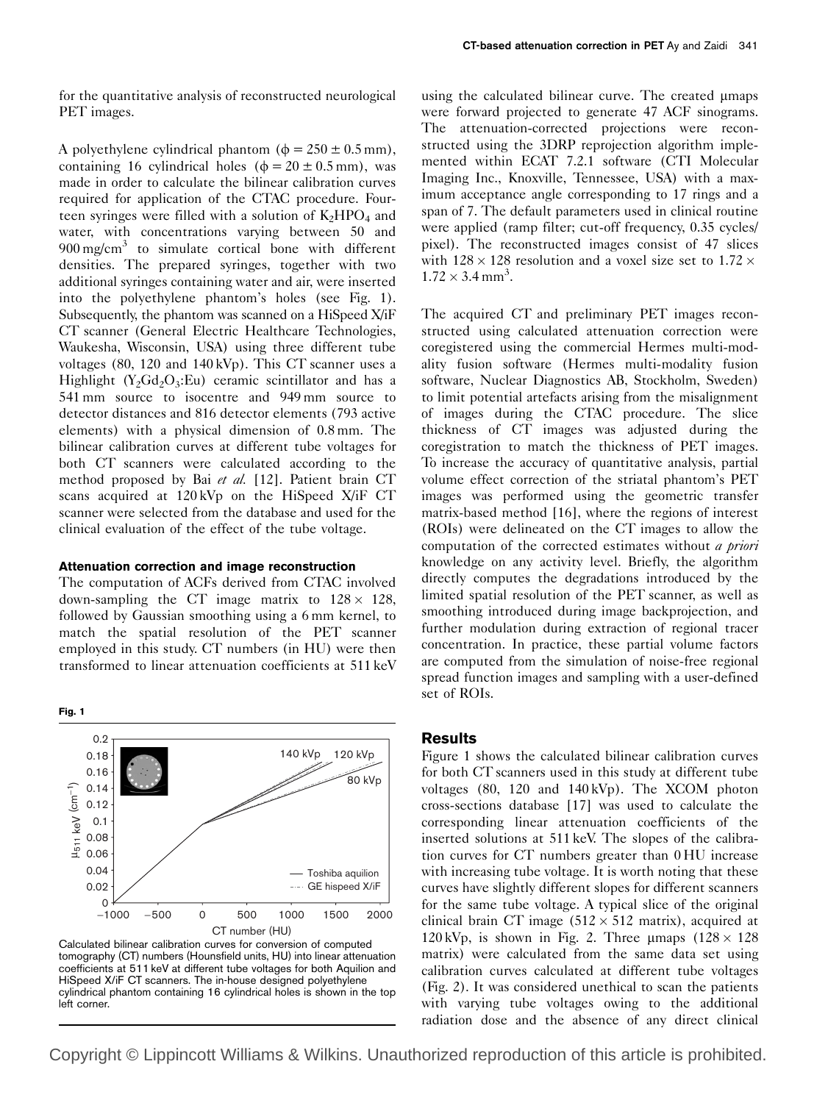for the quantitative analysis of reconstructed neurological PET images.

A polyethylene cylindrical phantom ( $\phi = 250 \pm 0.5$  mm), containing 16 cylindrical holes ( $\phi = 20 \pm 0.5$  mm), was made in order to calculate the bilinear calibration curves required for application of the CTAC procedure. Fourteen syringes were filled with a solution of  $K_2HPO_4$  and water, with concentrations varying between 50 and  $900 \text{ mg/cm}^3$  to simulate cortical bone with different densities. The prepared syringes, together with two additional syringes containing water and air, were inserted into the polyethylene phantom's holes (see Fig. 1). Subsequently, the phantom was scanned on a HiSpeed X/iF CT scanner (General Electric Healthcare Technologies, Waukesha, Wisconsin, USA) using three different tube voltages (80, 120 and 140 kVp). This CT scanner uses a Highlight  $(Y_2Gd_2O_3:Eu)$  ceramic scintillator and has a 541 mm source to isocentre and 949 mm source to detector distances and 816 detector elements (793 active elements) with a physical dimension of 0.8 mm. The bilinear calibration curves at different tube voltages for both CT scanners were calculated according to the method proposed by Bai et al. [12]. Patient brain CT scans acquired at 120 kVp on the HiSpeed X/iF CT scanner were selected from the database and used for the clinical evaluation of the effect of the tube voltage.

#### Attenuation correction and image reconstruction

The computation of ACFs derived from CTAC involved down-sampling the CT image matrix to  $128 \times 128$ , followed by Gaussian smoothing using a 6 mm kernel, to match the spatial resolution of the PET scanner employed in this study. CT numbers (in HU) were then transformed to linear attenuation coefficients at 511 keV





Calculated bilinear calibration curves for conversion of computed tomography (CT) numbers (Hounsfield units, HU) into linear attenuation coefficients at 511 keV at different tube voltages for both Aquilion and HiSpeed X/iF CT scanners. The in-house designed polyethylene cylindrical phantom containing 16 cylindrical holes is shown in the top left corner.

using the calculated bilinear curve. The created umaps were forward projected to generate 47 ACF sinograms. The attenuation-corrected projections were reconstructed using the 3DRP reprojection algorithm implemented within ECAT 7.2.1 software (CTI Molecular Imaging Inc., Knoxville, Tennessee, USA) with a maximum acceptance angle corresponding to 17 rings and a span of 7. The default parameters used in clinical routine were applied (ramp filter; cut-off frequency, 0.35 cycles/ pixel). The reconstructed images consist of 47 slices with  $128 \times 128$  resolution and a voxel size set to  $1.72 \times$  $1.72 \times 3.4 \text{ mm}^3$ .

The acquired CT and preliminary PET images reconstructed using calculated attenuation correction were coregistered using the commercial Hermes multi-modality fusion software (Hermes multi-modality fusion software, Nuclear Diagnostics AB, Stockholm, Sweden) to limit potential artefacts arising from the misalignment of images during the CTAC procedure. The slice thickness of CT images was adjusted during the coregistration to match the thickness of PET images. To increase the accuracy of quantitative analysis, partial volume effect correction of the striatal phantom's PET images was performed using the geometric transfer matrix-based method [16], where the regions of interest (ROIs) were delineated on the CT images to allow the computation of the corrected estimates without a priori knowledge on any activity level. Briefly, the algorithm directly computes the degradations introduced by the limited spatial resolution of the PET scanner, as well as smoothing introduced during image backprojection, and further modulation during extraction of regional tracer concentration. In practice, these partial volume factors are computed from the simulation of noise-free regional spread function images and sampling with a user-defined set of ROIs.

#### Results

Figure 1 shows the calculated bilinear calibration curves for both CT scanners used in this study at different tube voltages (80, 120 and 140 kVp). The XCOM photon cross-sections database [17] was used to calculate the corresponding linear attenuation coefficients of the inserted solutions at 511 keV. The slopes of the calibration curves for CT numbers greater than 0 HU increase with increasing tube voltage. It is worth noting that these curves have slightly different slopes for different scanners for the same tube voltage. A typical slice of the original clinical brain CT image  $(512 \times 512$  matrix), acquired at 120 kVp, is shown in Fig. 2. Three  $\mu$ maps (128 × 128) matrix) were calculated from the same data set using calibration curves calculated at different tube voltages (Fig. 2). It was considered unethical to scan the patients with varying tube voltages owing to the additional radiation dose and the absence of any direct clinical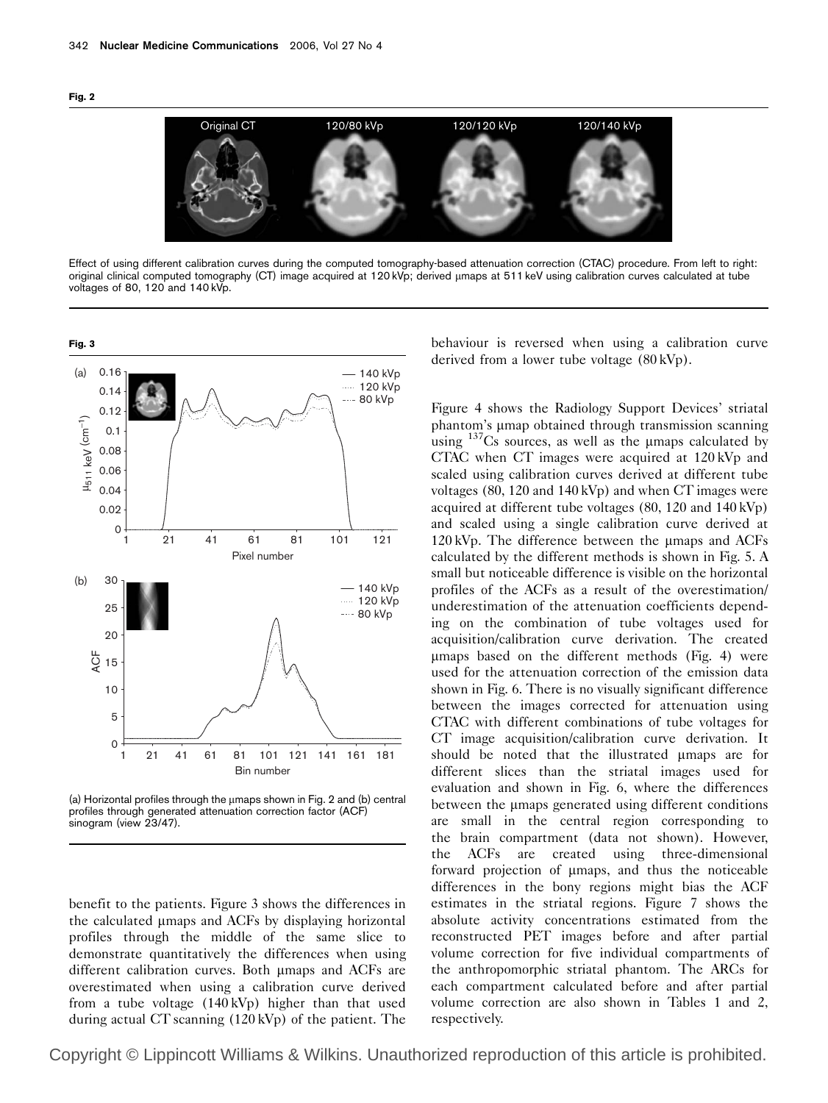

Effect of using different calibration curves during the computed tomography-based attenuation correction (CTAC) procedure. From left to right: original clinical computed tomography (CT) image acquired at 120 kVp; derived mmaps at 511 keV using calibration curves calculated at tube voltages of 80, 120 and 140 kVp.



(a) Horizontal profiles through the umaps shown in Fig. 2 and (b) central profiles through generated attenuation correction factor (ACF) sinogram (view 23/47).

benefit to the patients. Figure 3 shows the differences in the calculated mmaps and ACFs by displaying horizontal profiles through the middle of the same slice to demonstrate quantitatively the differences when using different calibration curves. Both umaps and ACFs are overestimated when using a calibration curve derived from a tube voltage (140 kVp) higher than that used during actual CT scanning (120 kVp) of the patient. The

behaviour is reversed when using a calibration curve derived from a lower tube voltage (80 kVp).

Figure 4 shows the Radiology Support Devices' striatal phantom's umap obtained through transmission scanning using  $137Cs$  sources, as well as the umaps calculated by CTAC when CT images were acquired at 120 kVp and scaled using calibration curves derived at different tube voltages (80, 120 and 140 kVp) and when CT images were acquired at different tube voltages (80, 120 and 140 kVp) and scaled using a single calibration curve derived at 120 kVp. The difference between the umaps and ACFs calculated by the different methods is shown in Fig. 5. A small but noticeable difference is visible on the horizontal profiles of the ACFs as a result of the overestimation/ underestimation of the attenuation coefficients depending on the combination of tube voltages used for acquisition/calibration curve derivation. The created mmaps based on the different methods (Fig. 4) were used for the attenuation correction of the emission data shown in Fig. 6. There is no visually significant difference between the images corrected for attenuation using CTAC with different combinations of tube voltages for CT image acquisition/calibration curve derivation. It should be noted that the illustrated umaps are for different slices than the striatal images used for evaluation and shown in Fig. 6, where the differences between the umaps generated using different conditions are small in the central region corresponding to the brain compartment (data not shown). However, the ACFs are created using three-dimensional forward projection of umaps, and thus the noticeable differences in the bony regions might bias the ACF estimates in the striatal regions. Figure 7 shows the absolute activity concentrations estimated from the reconstructed PET images before and after partial volume correction for five individual compartments of the anthropomorphic striatal phantom. The ARCs for each compartment calculated before and after partial volume correction are also shown in Tables 1 and 2, respectively.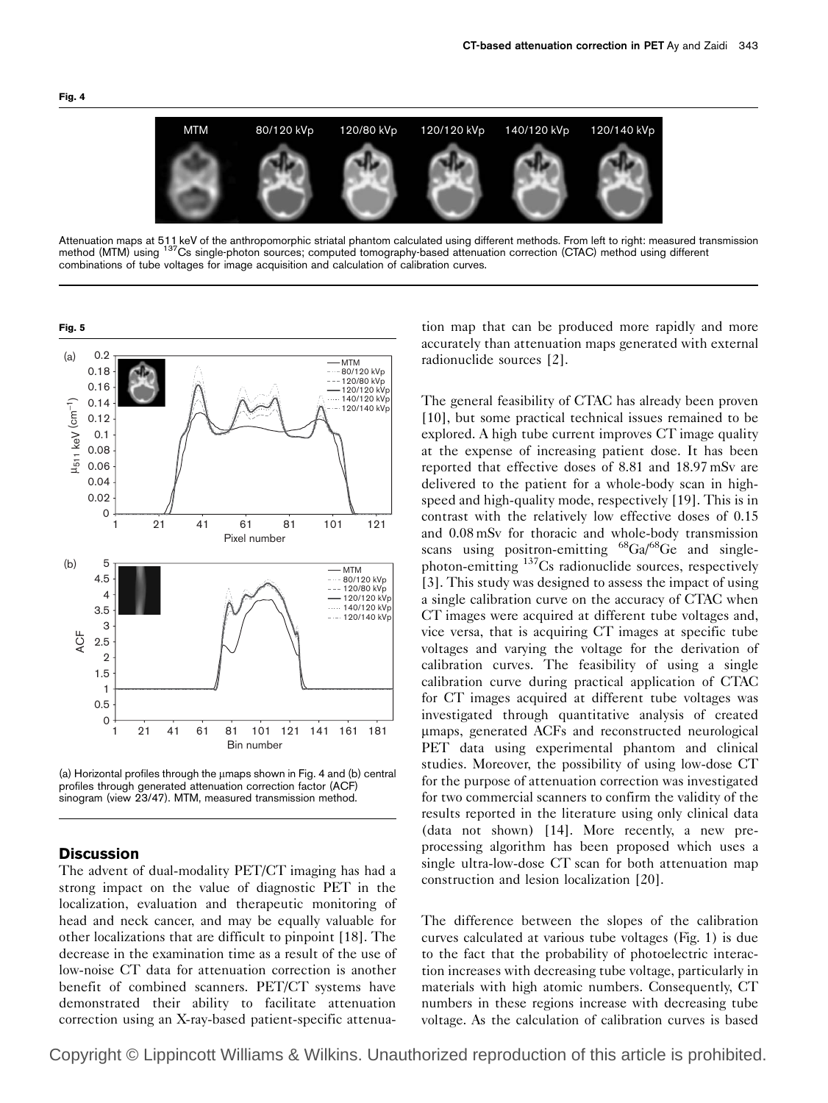

Attenuation maps at 511 keV of the anthropomorphic striatal phantom calculated using different methods. From left to right: measured transmission method (MTM) using 137Cs single-photon sources; computed tomography-based attenuation correction (CTAC) method using different combinations of tube voltages for image acquisition and calculation of calibration curves.



(a) Horizontal profiles through the umaps shown in Fig. 4 and (b) central profiles through generated attenuation correction factor (ACF) sinogram (view 23/47). MTM, measured transmission method.

#### **Discussion**

The advent of dual-modality PET/CT imaging has had a strong impact on the value of diagnostic PET in the localization, evaluation and therapeutic monitoring of head and neck cancer, and may be equally valuable for other localizations that are difficult to pinpoint [18]. The decrease in the examination time as a result of the use of low-noise CT data for attenuation correction is another benefit of combined scanners. PET/CT systems have demonstrated their ability to facilitate attenuation correction using an X-ray-based patient-specific attenuation map that can be produced more rapidly and more accurately than attenuation maps generated with external radionuclide sources [2].

The general feasibility of CTAC has already been proven [10], but some practical technical issues remained to be explored. A high tube current improves CT image quality at the expense of increasing patient dose. It has been reported that effective doses of 8.81 and 18.97 mSv are delivered to the patient for a whole-body scan in highspeed and high-quality mode, respectively [19]. This is in contrast with the relatively low effective doses of 0.15 and 0.08 mSv for thoracic and whole-body transmission scans using positron-emitting  ${}^{68}Ga/{}^{68}Ge$  and singlephoton-emitting 137Cs radionuclide sources, respectively [3]. This study was designed to assess the impact of using a single calibration curve on the accuracy of CTAC when CT images were acquired at different tube voltages and, vice versa, that is acquiring CT images at specific tube voltages and varying the voltage for the derivation of calibration curves. The feasibility of using a single calibration curve during practical application of CTAC for CT images acquired at different tube voltages was investigated through quantitative analysis of created mmaps, generated ACFs and reconstructed neurological PET data using experimental phantom and clinical studies. Moreover, the possibility of using low-dose CT for the purpose of attenuation correction was investigated for two commercial scanners to confirm the validity of the results reported in the literature using only clinical data (data not shown) [14]. More recently, a new preprocessing algorithm has been proposed which uses a single ultra-low-dose CT scan for both attenuation map construction and lesion localization [20].

The difference between the slopes of the calibration curves calculated at various tube voltages (Fig. 1) is due to the fact that the probability of photoelectric interaction increases with decreasing tube voltage, particularly in materials with high atomic numbers. Consequently, CT numbers in these regions increase with decreasing tube voltage. As the calculation of calibration curves is based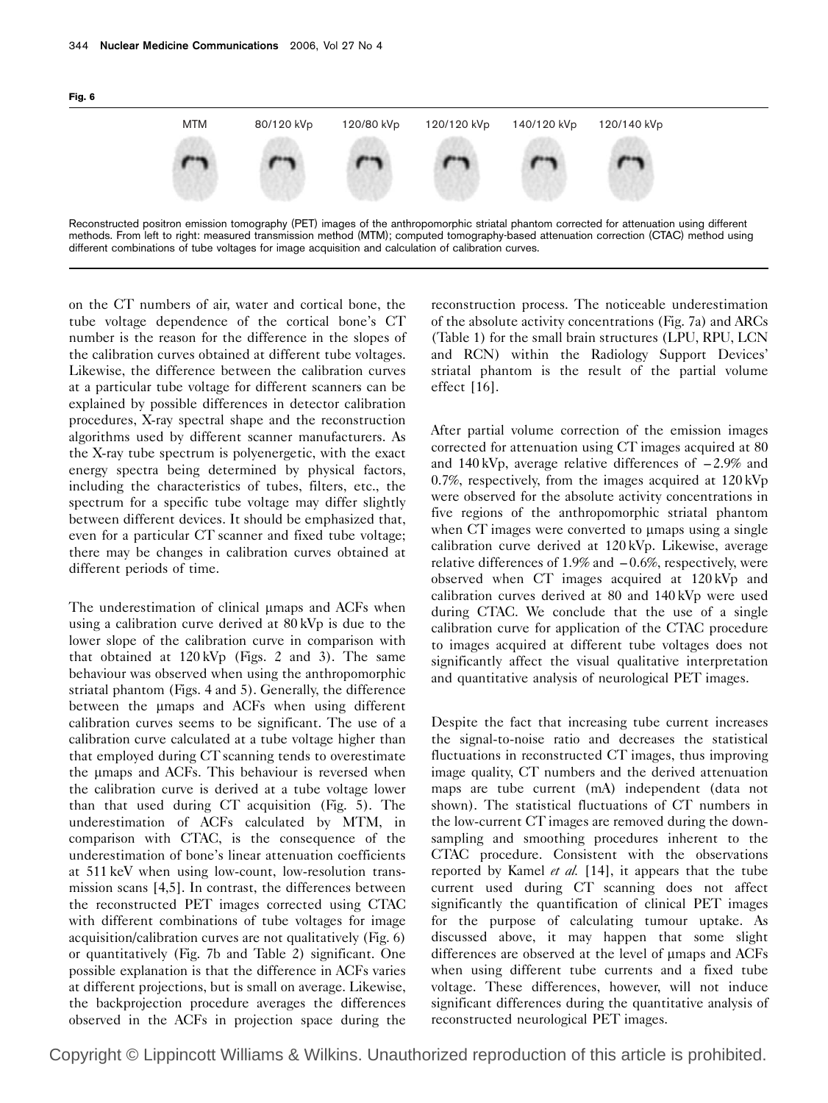

Reconstructed positron emission tomography (PET) images of the anthropomorphic striatal phantom corrected for attenuation using different methods. From left to right: measured transmission method (MTM); computed tomography-based attenuation correction (CTAC) method using different combinations of tube voltages for image acquisition and calculation of calibration curves.

on the CT numbers of air, water and cortical bone, the tube voltage dependence of the cortical bone's CT number is the reason for the difference in the slopes of the calibration curves obtained at different tube voltages. Likewise, the difference between the calibration curves at a particular tube voltage for different scanners can be explained by possible differences in detector calibration procedures, X-ray spectral shape and the reconstruction algorithms used by different scanner manufacturers. As the X-ray tube spectrum is polyenergetic, with the exact energy spectra being determined by physical factors, including the characteristics of tubes, filters, etc., the spectrum for a specific tube voltage may differ slightly between different devices. It should be emphasized that, even for a particular CT scanner and fixed tube voltage; there may be changes in calibration curves obtained at different periods of time.

The underestimation of clinical µmaps and ACFs when using a calibration curve derived at 80 kVp is due to the lower slope of the calibration curve in comparison with that obtained at 120 kVp (Figs. 2 and 3). The same behaviour was observed when using the anthropomorphic striatal phantom (Figs. 4 and 5). Generally, the difference between the umaps and ACFs when using different calibration curves seems to be significant. The use of a calibration curve calculated at a tube voltage higher than that employed during CT scanning tends to overestimate the umaps and ACFs. This behaviour is reversed when the calibration curve is derived at a tube voltage lower than that used during CT acquisition (Fig. 5). The underestimation of ACFs calculated by MTM, in comparison with CTAC, is the consequence of the underestimation of bone's linear attenuation coefficients at 511 keV when using low-count, low-resolution transmission scans [4,5]. In contrast, the differences between the reconstructed PET images corrected using CTAC with different combinations of tube voltages for image acquisition/calibration curves are not qualitatively (Fig. 6) or quantitatively (Fig. 7b and Table 2) significant. One possible explanation is that the difference in ACFs varies at different projections, but is small on average. Likewise, the backprojection procedure averages the differences observed in the ACFs in projection space during the reconstruction process. The noticeable underestimation of the absolute activity concentrations (Fig. 7a) and ARCs (Table 1) for the small brain structures (LPU, RPU, LCN and RCN) within the Radiology Support Devices' striatal phantom is the result of the partial volume effect [16].

After partial volume correction of the emission images corrected for attenuation using CT images acquired at 80 and  $140 \text{ kVp}$ , average relative differences of  $-2.9\%$  and 0.7%, respectively, from the images acquired at 120 kVp were observed for the absolute activity concentrations in five regions of the anthropomorphic striatal phantom when  $CT$  images were converted to  $\mu$ maps using a single calibration curve derived at 120 kVp. Likewise, average relative differences of 1.9% and – 0.6%, respectively, were observed when CT images acquired at 120 kVp and calibration curves derived at 80 and 140 kVp were used during CTAC. We conclude that the use of a single calibration curve for application of the CTAC procedure to images acquired at different tube voltages does not significantly affect the visual qualitative interpretation and quantitative analysis of neurological PET images.

Despite the fact that increasing tube current increases the signal-to-noise ratio and decreases the statistical fluctuations in reconstructed CT images, thus improving image quality, CT numbers and the derived attenuation maps are tube current (mA) independent (data not shown). The statistical fluctuations of CT numbers in the low-current CT images are removed during the downsampling and smoothing procedures inherent to the CTAC procedure. Consistent with the observations reported by Kamel *et al.* [14], it appears that the tube current used during CT scanning does not affect significantly the quantification of clinical PET images for the purpose of calculating tumour uptake. As discussed above, it may happen that some slight differences are observed at the level of µmaps and ACFs when using different tube currents and a fixed tube voltage. These differences, however, will not induce significant differences during the quantitative analysis of reconstructed neurological PET images.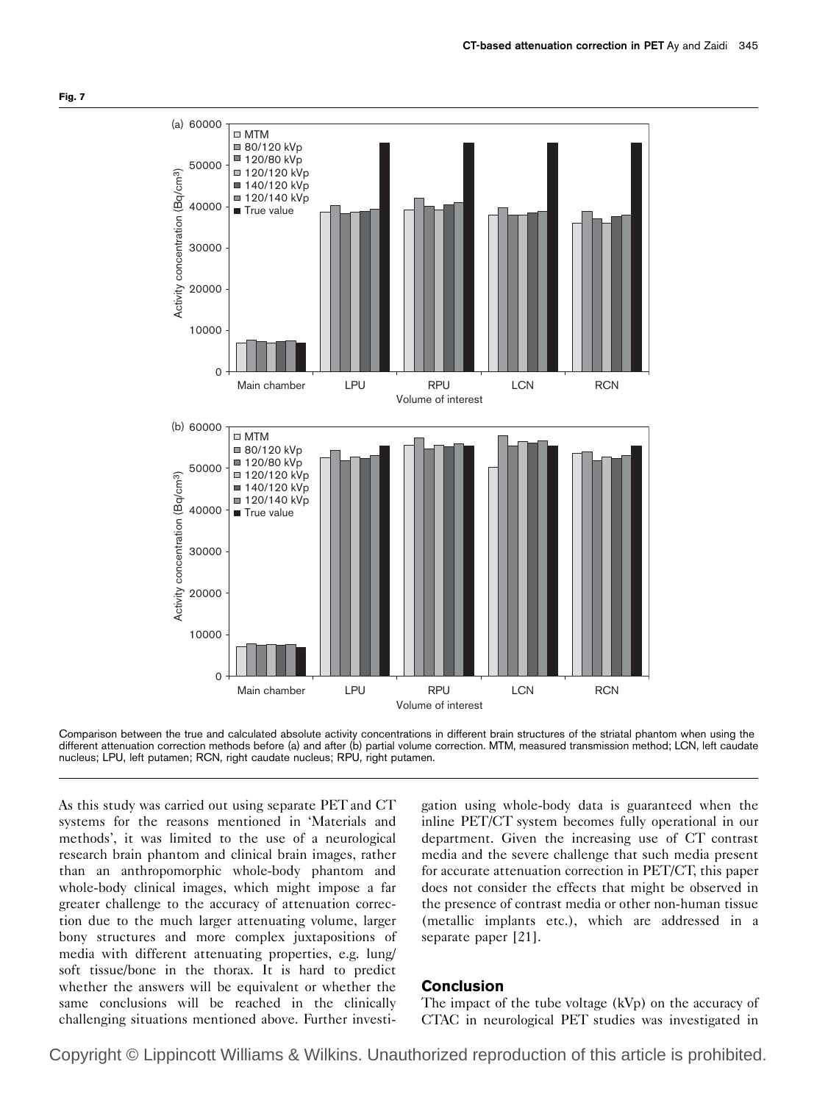

Comparison between the true and calculated absolute activity concentrations in different brain structures of the striatal phantom when using the different attenuation correction methods before (a) and after (b) partial volume correction. MTM, measured transmission method; LCN, left caudate nucleus; LPU, left putamen; RCN, right caudate nucleus; RPU, right putamen.

As this study was carried out using separate PET and CT systems for the reasons mentioned in 'Materials and methods', it was limited to the use of a neurological research brain phantom and clinical brain images, rather than an anthropomorphic whole-body phantom and whole-body clinical images, which might impose a far greater challenge to the accuracy of attenuation correction due to the much larger attenuating volume, larger bony structures and more complex juxtapositions of media with different attenuating properties, e.g. lung/ soft tissue/bone in the thorax. It is hard to predict whether the answers will be equivalent or whether the same conclusions will be reached in the clinically challenging situations mentioned above. Further investi-

gation using whole-body data is guaranteed when the inline PET/CT system becomes fully operational in our department. Given the increasing use of CT contrast media and the severe challenge that such media present for accurate attenuation correction in PET/CT, this paper does not consider the effects that might be observed in the presence of contrast media or other non-human tissue (metallic implants etc.), which are addressed in a separate paper [21].

#### Conclusion

The impact of the tube voltage (kVp) on the accuracy of CTAC in neurological PET studies was investigated in